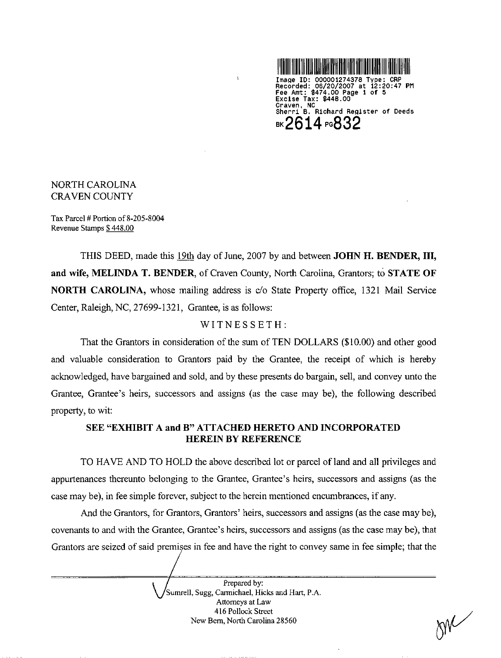

Image ID: 000001274378 Type: CRP<br>Recorded: 06/20/2007 at 12:20:47 PM Fee Amt: \$474.00 Page 1 of 5 Excise Tax: \$448.00 Craven, NC Sherri B. Richard Register of Deeds **BK2614 PG832** 

NORTH CAROLINA **CRAVEN COUNTY** 

Tax Parcel # Portion of  $8-205-8004$ Revenue Stamps \$448.00

THIS DEED, made this 19th day of June, 2007 by and between **JOHN H. BENDER, III,** 

and wife, MELINDA T. BENDER, of Craven County, North Carolina, Grantors; to STATE OF **NORTH CAROLINA**, whose mailing address is c/o State Property office, 1321 Mail Service Center, Raleigh, NC, 27699-1321, Grantee, is as follows:

 $\ddot{\phantom{a}}$ 

### WITNESSETH:

That the Grantors in consideration of the sum of TEN DOLLARS (\$10.00) and other good and valuable consideration to Grantors paid by the Grantee, the receipt of which is hereby acknowledged, have bargained and sold, and by these presents do bargain, sell, and convey unto the Grantee, Grantee's heirs, successors and assigns (as the case may be), the following described property, to wit:

## SEE "EXHIBIT A and B" ATTACHED HERETO AND INCORPORATED **HEREIN BY REFERENCE**

TO HAVE AND TO HOLD the above described lot or parcel of land and all privileges and appurtenances thereunto belonging to the Grantee, Grantee's heirs, successors and assigns (as the case may be), in fee simple forever, subject to the herein mentioned encumbrances, if any.

And the Grantors, for Grantors, Grantors' heirs, successors and assigns (as the case may be), covenants to and with the Grantee, Grantee's heirs, successors and assigns (as the case may be), that

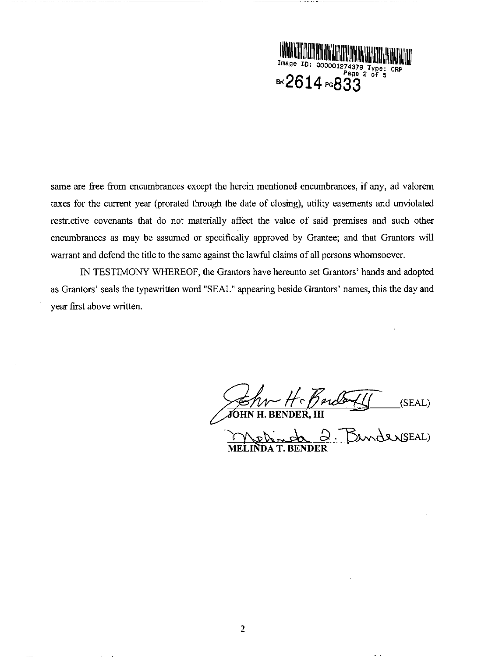

same are free from encumbrances except the herein mentioned encumbrances, if any, ad valorem taxes for the current year (prorated through the date of closing), utility easements and unviolated restrictive covenants that do not materially affect the value of said premises and such other encumbrances as may be assumed or specifically approved by Grantee; and that Grantors will warrant and defend the title to the same against the lawful claims of all persons whomsoever.

IN TESTIMONY WHEREOF, the Grantors have hereunto set Grantors' hands and adopted as Grantors' seals the typewritten word "SEAL" appearing beside Grantors' names, this the day and year first above written.

(SEAL) **JOHN H. BENDER, III** (SEAL) **MELINDA T. BENDER** 

----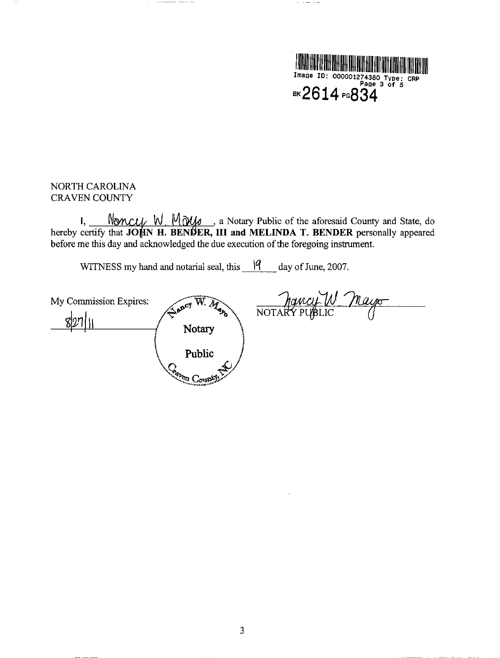

 $\mathcal{A}=\mathcal{A}=\mathcal{A}=\mathcal{A}=\mathcal{A}$  .

## NORTH CAROLINA CRAVEN COUNTY

 $\alpha$  =  $\alpha$ 

I,  $\frac{N_{\text{OMCU}}}{N}$   $\frac{N_{\text{OMU}}}{N}$   $\frac{N_{\text{OM}}}{N}$ , a Notary Public of the aforesaid County and State, do hereby certify that JOHN H. BENDER, III and MELINDA T. BENDER personally appeared before me this day and acknowledged the due execution of the foregoing instrument.

WITNESS my hand and notarial seal, this  $\frac{19}{100}$  day of June, 2007.

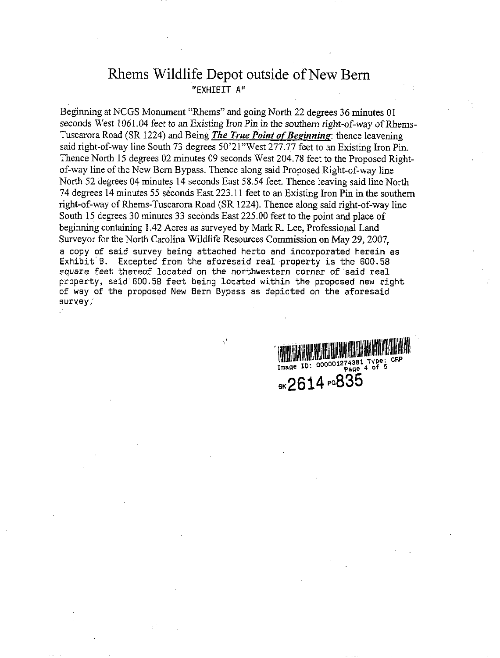# Rhems Wildlife Depot outside of New Bern "EXHIBIT A"

Beginning at NCGS Monument "Rhems" and going North 22 degrees 36 minutes 01 seconds West 1061.04 feet to an Existing Iron Pin in the southern right-of-way of Rhems-Tuscarora Road (SR 1224) and Being *The True Point of Beginning*: thence leavening. said right-of-way line South 73 degrees 50'21"West 277.77 feet to an Existing Iron Pin. Thence North 15 degrees 02 minutes 09 seconds West 204.78 feet to the Proposed Rightof-way line of the New Bern Bypass. Thence along said Proposed Right-of-way line North 52 degrees 04 minutes 14 seconds East 58.54 feet. Thence leaving said line North 74 degrees 14 minutes 55 seconds East 223.11 feet to an Existing Iron Pin in the southern right-of-way of Rhems-Tuscarora Road (SR 1224). Thence along said right-of-way line South 15 degrees 30 minutes 33 seconds East 225.00 feet to the point and place of beginning containing 1.42 Acres as surveyed by Mark R. Lee, Professional Land Surveyor for the North Carolina Wildlife Resources Commission on May 29, 2007, a copy of said survey being attached herto and incorporated herein as Exhibit B. Excepted from the aforesaid real property is the 600.58 square feet thereof located on the northwestern corner of said real property, said 600.58 feet being located within the proposed new right of way of the proposed New Bern Bypass as depicted on the aforesaid survey,

 $\mathcal{C}$ 



the contract of the contract of the contract of the

the contract of the contract of the contract of the contract of the contract of the contract of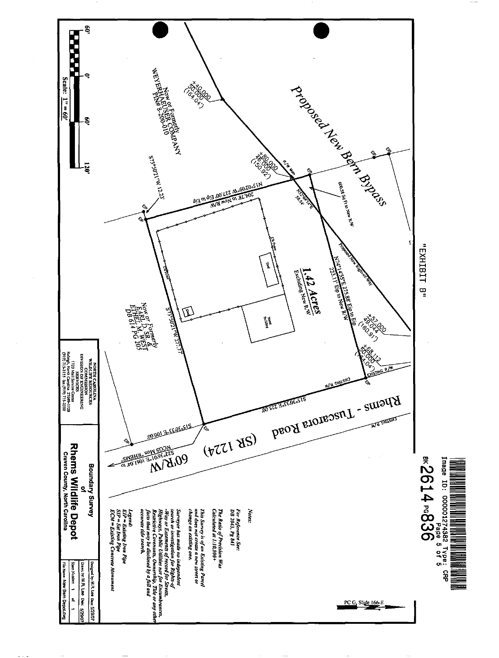

 $- \cdot$   $--$ 



 $\cdots$ 

 $\cdots$ 

 $\sim$   $\sim$ 

Designed by: M.P. Lee Date: 5/29/07 Drawn by: M.R. Lee Dan: 5/29/07  $\blacktriangle$  $\mathbf{s}$ ∸

 $- -$ 

 $-$ 

File Name: N8w Benn Deporchvg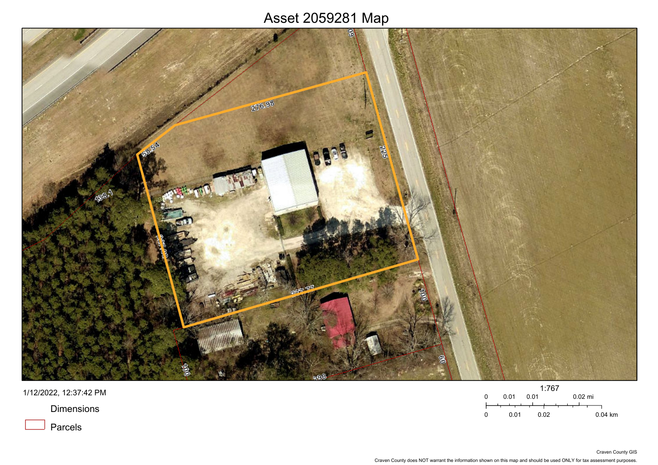### Asset 2059281 Map



1/12/2022, 12:37:42 PM

**Dimensions** 

Parcels

|   |      |      | 1:767 |  |           |           |
|---|------|------|-------|--|-----------|-----------|
| 0 | 0.01 | 0 Q1 |       |  | $0.02$ mi |           |
|   |      |      |       |  |           |           |
| n | 0 01 |      | 0.02  |  |           | $0.04$ km |